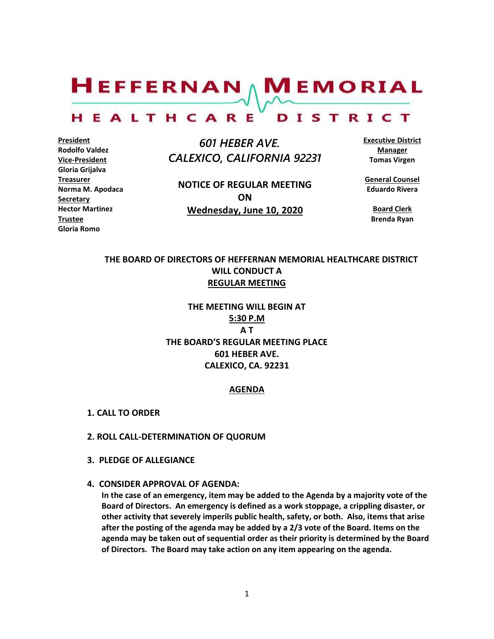$H$ EFFERNAN  $\wedge$  M EMORIAL HEALTHCARE DISTRICT

**President Rodolfo Valdez Vice-President Gloria Grijalva Treasurer Norma M. Apodaca Secretary Hector Martinez Trustee Gloria Romo**

 *601 HEBER AVE. CALEXICO, CALIFORNIA 92231*

**NOTICE OF REGULAR MEETING ON Wednesday, June 10, 2020**

**Executive District Manager Tomas Virgen**

**General Counsel Eduardo Rivera**

**Board Clerk Brenda Ryan**

## **THE BOARD OF DIRECTORS OF HEFFERNAN MEMORIAL HEALTHCARE DISTRICT WILL CONDUCT A REGULAR MEETING**

**THE MEETING WILL BEGIN AT 5:30 P.M A T THE BOARD'S REGULAR MEETING PLACE 601 HEBER AVE. CALEXICO, CA. 92231**

#### **AGENDA**

- **1. CALL TO ORDER**
- **2. ROLL CALL-DETERMINATION OF QUORUM**
- **3. PLEDGE OF ALLEGIANCE**
- **4. CONSIDER APPROVAL OF AGENDA:**

**In the case of an emergency, item may be added to the Agenda by a majority vote of the Board of Directors. An emergency is defined as a work stoppage, a crippling disaster, or other activity that severely imperils public health, safety, or both. Also, items that arise after the posting of the agenda may be added by a 2/3 vote of the Board. Items on the agenda may be taken out of sequential order as their priority is determined by the Board of Directors. The Board may take action on any item appearing on the agenda.**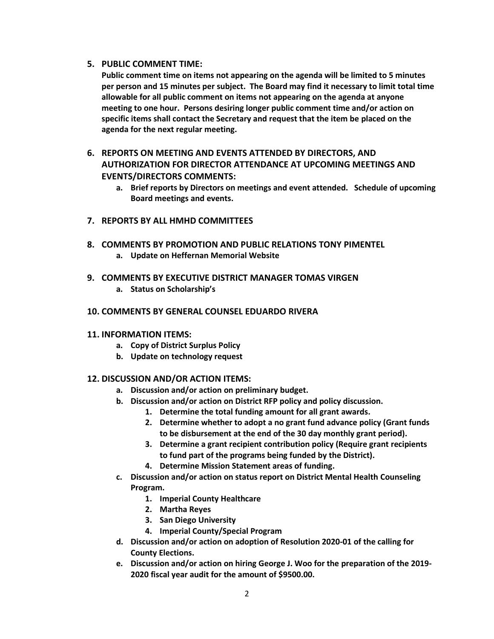### **5. PUBLIC COMMENT TIME:**

**Public comment time on items not appearing on the agenda will be limited to 5 minutes per person and 15 minutes per subject. The Board may find it necessary to limit total time allowable for all public comment on items not appearing on the agenda at anyone meeting to one hour. Persons desiring longer public comment time and/or action on specific items shall contact the Secretary and request that the item be placed on the agenda for the next regular meeting.**

## **6. REPORTS ON MEETING AND EVENTS ATTENDED BY DIRECTORS, AND AUTHORIZATION FOR DIRECTOR ATTENDANCE AT UPCOMING MEETINGS AND EVENTS/DIRECTORS COMMENTS:**

- **a. Brief reports by Directors on meetings and event attended. Schedule of upcoming Board meetings and events.**
- **7. REPORTS BY ALL HMHD COMMITTEES**
- **8. COMMENTS BY PROMOTION AND PUBLIC RELATIONS TONY PIMENTEL**
	- **a. Update on Heffernan Memorial Website**

### **9. COMMENTS BY EXECUTIVE DISTRICT MANAGER TOMAS VIRGEN**

**a. Status on Scholarship's**

### **10. COMMENTS BY GENERAL COUNSEL EDUARDO RIVERA**

#### **11. INFORMATION ITEMS:**

- **a. Copy of District Surplus Policy**
- **b. Update on technology request**

## **12. DISCUSSION AND/OR ACTION ITEMS:**

- **a. Discussion and/or action on preliminary budget.**
- **b. Discussion and/or action on District RFP policy and policy discussion.**
	- **1. Determine the total funding amount for all grant awards.**
	- **2. Determine whether to adopt a no grant fund advance policy (Grant funds to be disbursement at the end of the 30 day monthly grant period).**
	- **3. Determine a grant recipient contribution policy (Require grant recipients to fund part of the programs being funded by the District).**
	- **4. Determine Mission Statement areas of funding.**
- **c. Discussion and/or action on status report on District Mental Health Counseling Program.**
	- **1. Imperial County Healthcare**
	- **2. Martha Reyes**
	- **3. San Diego University**
	- **4. Imperial County/Special Program**
- **d. Discussion and/or action on adoption of Resolution 2020-01 of the calling for County Elections.**
- **e. Discussion and/or action on hiring George J. Woo for the preparation of the 2019- 2020 fiscal year audit for the amount of \$9500.00.**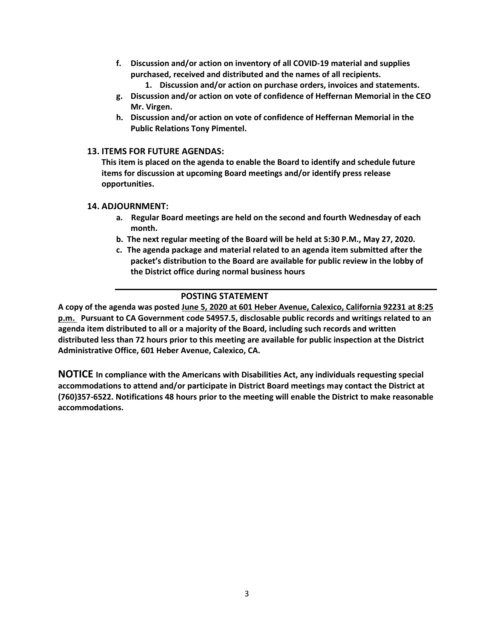- **f. Discussion and/or action on inventory of all COVID-19 material and supplies purchased, received and distributed and the names of all recipients.**
	- **1. Discussion and/or action on purchase orders, invoices and statements.**
- **g. Discussion and/or action on vote of confidence of Heffernan Memorial in the CEO Mr. Virgen.**
- **h. Discussion and/or action on vote of confidence of Heffernan Memorial in the Public Relations Tony Pimentel.**

#### **13. ITEMS FOR FUTURE AGENDAS:**

**This item is placed on the agenda to enable the Board to identify and schedule future items for discussion at upcoming Board meetings and/or identify press release opportunities.**

#### **14. ADJOURNMENT:**

- **a. Regular Board meetings are held on the second and fourth Wednesday of each month.**
- **b. The next regular meeting of the Board will be held at 5:30 P.M., May 27, 2020.**
- **c. The agenda package and material related to an agenda item submitted after the packet's distribution to the Board are available for public review in the lobby of the District office during normal business hours**

#### **POSTING STATEMENT**

**A copy of the agenda was posted June 5, 2020 at 601 Heber Avenue, Calexico, California 92231 at 8:25 p.m. Pursuant to CA Government code 54957.5, disclosable public records and writings related to an agenda item distributed to all or a majority of the Board, including such records and written distributed less than 72 hours prior to this meeting are available for public inspection at the District Administrative Office, 601 Heber Avenue, Calexico, CA.**

**NOTICE In compliance with the Americans with Disabilities Act, any individuals requesting special accommodations to attend and/or participate in District Board meetings may contact the District at (760)357-6522. Notifications 48 hours prior to the meeting will enable the District to make reasonable accommodations.**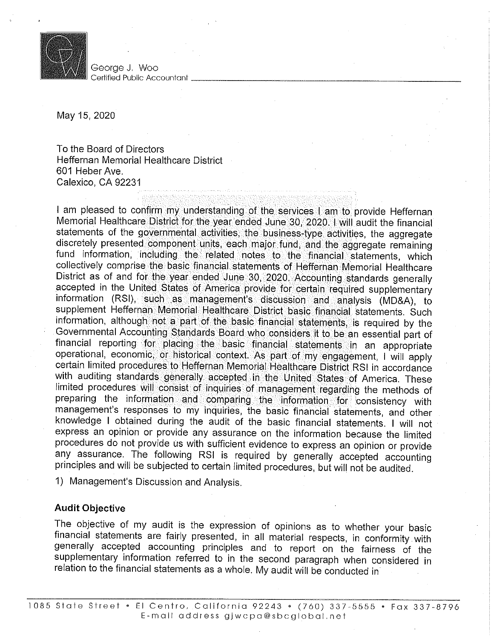

Georae J. Woo Certified Public Accountant

May 15, 2020

To the Board of Directors Heffernan Memorial Healthcare District 601 Heber Ave. Calexico, CA 92231

I am pleased to confirm my understanding of the services I am to provide Heffernan Memorial Healthcare District for the year ended June 30, 2020. I will audit the financial statements of the governmental activities, the business-type activities, the aggregate discretely presented component units, each major fund, and the aggregate remaining fund information, including the related notes to the financial statements, which collectively comprise the basic financial statements of Heffernan Memorial Healthcare District as of and for the year ended June 30, 2020. Accounting standards generally accepted in the United States of America provide for certain required supplementary information (RSI), such as management's discussion and analysis (MD&A), to supplement Heffernan Memorial Healthcare District basic financial statements. Such information, although not a part of the basic financial statements, is required by the Governmental Accounting Standards Board who considers it to be an essential part of financial reporting for placing the basic financial statements in an appropriate operational, economic, or historical context. As part of my engagement, I will apply certain limited procedures to Heffernan Memorial Healthcare District RSI in accordance with auditing standards generally accepted in the United States of America. These limited procedures will consist of inquiries of management regarding the methods of preparing the information and comparing the information for consistency with management's responses to my inquiries, the basic financial statements, and other knowledge I obtained during the audit of the basic financial statements. I will not express an opinion or provide any assurance on the information because the limited procedures do not provide us with sufficient evidence to express an opinion or provide any assurance. The following RSI is required by generally accepted accounting principles and will be subjected to certain limited procedures, but will not be audited.

1) Management's Discussion and Analysis.

## **Audit Objective**

The objective of my audit is the expression of opinions as to whether your basic financial statements are fairly presented, in all material respects, in conformity with generally accepted accounting principles and to report on the fairness of the supplementary information referred to in the second paragraph when considered in relation to the financial statements as a whole. My audit will be conducted in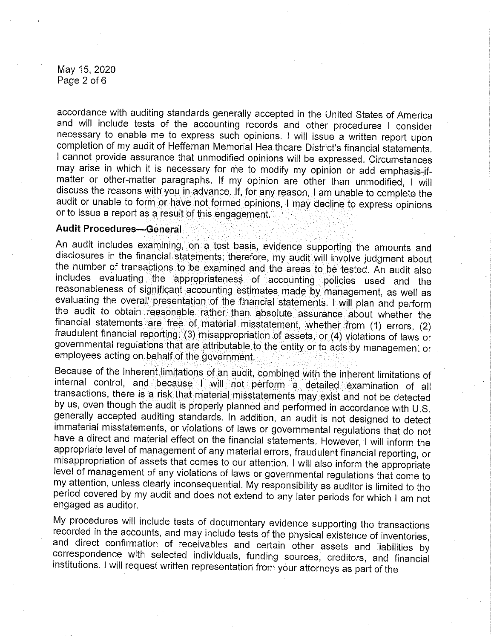May 15, 2020 Page 2 of 6

accordance with auditing standards generally accepted in the United States of America and will include tests of the accounting records and other procedures I consider necessary to enable me to express such opinions. I will issue a written report upon completion of my audit of Heffernan Memorial Healthcare District's financial statements. I cannot provide assurance that unmodified opinions will be expressed. Circumstances may arise in which it is necessary for me to modify my opinion or add emphasis-ifmatter or other-matter paragraphs. If my opinion are other than unmodified, I will discuss the reasons with you in advance. If, for any reason, I am unable to complete the audit or unable to form or have not formed opinions, I may decline to express opinions or to issue a report as a result of this engagement.

### **Audit Procedures-General**

An audit includes examining, on a test basis, evidence supporting the amounts and disclosures in the financial statements; therefore, my audit will involve judgment about the number of transactions to be examined and the areas to be tested. An audit also includes evaluating the appropriateness of accounting policies used and the reasonableness of significant accounting estimates made by management, as well as evaluating the overall presentation of the financial statements. Will plan and perform the audit to obtain reasonable rather than absolute assurance about whether the financial statements are free of material misstatement, whether from (1) errors, (2) fraudulent financial reporting, (3) misappropriation of assets, or (4) violations of laws or governmental regulations that are attributable to the entity or to acts by management or employees acting on behalf of the government.

Because of the inherent limitations of an audit, combined with the inherent limitations of internal control, and because I will not perform a detailed examination of all transactions, there is a risk that material misstatements may exist and not be detected by us, even though the audit is properly planned and performed in accordance with U.S. generally accepted auditing standards. In addition, an audit is not designed to detect immaterial misstatements, or violations of laws or governmental regulations that do not have a direct and material effect on the financial statements. However, I will inform the appropriate level of management of any material errors, fraudulent financial reporting, or misappropriation of assets that comes to our attention. I will also inform the appropriate level of management of any violations of laws or governmental regulations that come to my attention, unless clearly inconsequential. My responsibility as auditor is limited to the period covered by my audit and does not extend to any later periods for which I am not engaged as auditor.

My procedures will include tests of documentary evidence supporting the transactions recorded in the accounts, and may include tests of the physical existence of inventories, and direct confirmation of receivables and certain other assets and liabilities by correspondence with selected individuals, funding sources, creditors, and financial institutions. I will request written representation from your attorneys as part of the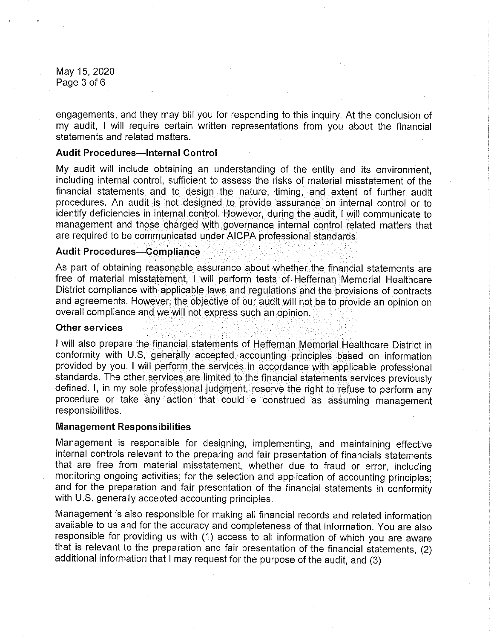May 15, 2020 Page 3 of 6

engagements, and they may bill you for responding to this inquiry. At the conclusion of my audit, I will require certain written representations from you about the financial statements and related matters.

### **Audit Procedures-Internal Control**

My audit will include obtaining an understanding of the entity and its environment. including internal control, sufficient to assess the risks of material misstatement of the financial statements and to design the nature, timing, and extent of further audit procedures. An audit is not designed to provide assurance on internal control or to identify deficiencies in internal control. However, during the audit, I will communicate to management and those charged with governance internal control related matters that are required to be communicated under AICPA professional standards.

#### **Audit Procedures-Compliance**

As part of obtaining reasonable assurance about whether the financial statements are free of material misstatement, I will perform tests of Heffernan Memorial Healthcare District compliance with applicable laws and regulations and the provisions of contracts and agreements. However, the objective of our audit will not be to provide an opinion on overall compliance and we will not express such an opinion.

#### **Other services**

I will also prepare the financial statements of Heffernan Memorial Healthcare District in conformity with U.S. generally accepted accounting principles based on information provided by you. I will perform the services in accordance with applicable professional standards. The other services are limited to the financial statements services previously defined. I, in my sole professional judgment, reserve the right to refuse to perform any procedure or take any action that could e construed as assuming management responsibilities.

#### **Management Responsibilities**

Management is responsible for designing, implementing, and maintaining effective internal controls relevant to the preparing and fair presentation of financials statements that are free from material misstatement, whether due to fraud or error, including monitoring ongoing activities; for the selection and application of accounting principles; and for the preparation and fair presentation of the financial statements in conformity with U.S. generally accepted accounting principles.

Management is also responsible for making all financial records and related information available to us and for the accuracy and completeness of that information. You are also responsible for providing us with (1) access to all information of which you are aware that is relevant to the preparation and fair presentation of the financial statements, (2) additional information that I may request for the purpose of the audit, and (3)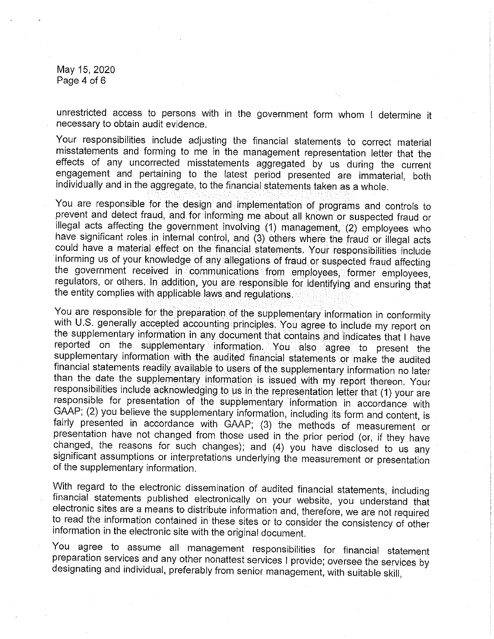May 15, 2020 Page 4 of 6

unrestricted access to persons with in the government form whom I determine it necessary to obtain audit evidence.

Your responsibilities include adjusting the financial statements to correct material misstatements and forming to me in the management representation letter that the effects of any uncorrected misstatements aggregated by us during the current engagement and pertaining to the latest period presented are immaterial, both individually and in the aggregate, to the financial statements taken as a whole.

You are responsible for the design and implementation of programs and controls to prevent and detect fraud, and for informing me about all known or suspected fraud or illegal acts affecting the government involving (1) management, (2) employees who have significant roles in internal control, and (3) others where the fraud or illegal acts could have a material effect on the financial statements. Your responsibilities include informing us of your knowledge of any allegations of fraud or suspected fraud affecting the government received in communications from employees, former employees, regulators, or others. In addition, you are responsible for identifying and ensuring that the entity complies with applicable laws and regulations.

You are responsible for the preparation of the supplementary information in conformity with U.S. generally accepted accounting principles. You agree to include my report on the supplementary information in any document that contains and indicates that I have reported on the supplementary information. You also agree to present the supplementary information with the audited financial statements or make the audited financial statements readily available to users of the supplementary information no later than the date the supplementary information is issued with my report thereon. Your responsibilities include acknowledging to us in the representation letter that (1) your are responsible for presentation of the supplementary information in accordance with GAAP; (2) you believe the supplementary information, including its form and content, is fairly presented in accordance with GAAP; (3) the methods of measurement or presentation have not changed from those used in the prior period (or, if they have changed, the reasons for such changes); and (4) you have disclosed to us any significant assumptions or interpretations underlying the measurement or presentation of the supplementary information.

With regard to the electronic dissemination of audited financial statements, including financial statements published electronically on your website, you understand that electronic sites are a means to distribute information and, therefore, we are not required to read the information contained in these sites or to consider the consistency of other information in the electronic site with the original document.

You agree to assume all management responsibilities for financial statement preparation services and any other nonattest services I provide; oversee the services by designating and individual, preferably from senior management, with suitable skill,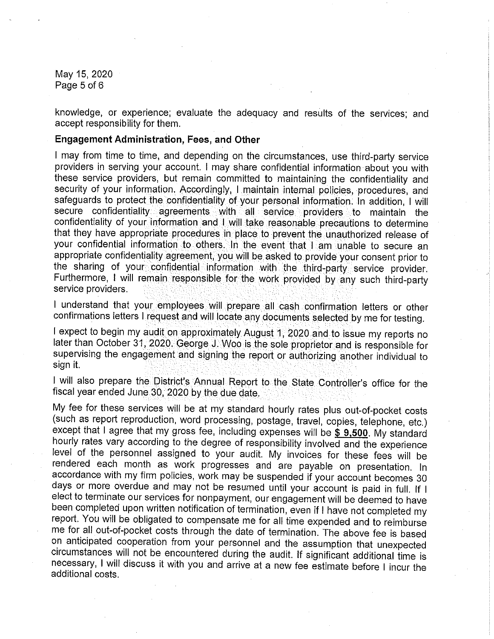May 15, 2020 Page 5 of 6

knowledge, or experience; evaluate the adequacy and results of the services; and accept responsibility for them.

#### **Engagement Administration, Fees, and Other**

I may from time to time, and depending on the circumstances, use third-party service providers in serving your account. I may share confidential information about you with these service providers, but remain committed to maintaining the confidentiality and security of your information. Accordingly, I maintain internal policies, procedures, and safeguards to protect the confidentiality of your personal information. In addition, I will secure confidentiality agreements with all service providers to maintain the confidentiality of your information and I will take reasonable precautions to determine that they have appropriate procedures in place to prevent the unauthorized release of your confidential information to others. In the event that I am unable to secure an appropriate confidentiality agreement, you will be asked to provide your consent prior to the sharing of your confidential information with the third-party service provider. Furthermore, I will remain responsible for the work provided by any such third-party service providers.

I understand that your employees will prepare all cash confirmation letters or other confirmations letters I request and will locate any documents selected by me for testing.

I expect to begin my audit on approximately August 1, 2020 and to issue my reports no later than October 31, 2020. George J. Woo is the sole proprietor and is responsible for supervising the engagement and signing the report or authorizing another individual to sign it.

I will also prepare the District's Annual Report to the State Controller's office for the fiscal year ended June 30, 2020 by the due date.

My fee for these services will be at my standard hourly rates plus out-of-pocket costs (such as report reproduction, word processing, postage, travel, copies, telephone, etc.) except that I agree that my gross fee, including expenses will be \$ 9,500. My standard hourly rates vary according to the degree of responsibility involved and the experience level of the personnel assigned to your audit. My invoices for these fees will be rendered each month as work progresses and are payable on presentation. In accordance with my firm policies, work may be suspended if your account becomes 30 days or more overdue and may not be resumed until your account is paid in full. If I elect to terminate our services for nonpayment, our engagement will be deemed to have been completed upon written notification of termination, even if I have not completed my report. You will be obligated to compensate me for all time expended and to reimburse me for all out-of-pocket costs through the date of termination. The above fee is based on anticipated cooperation from your personnel and the assumption that unexpected circumstances will not be encountered during the audit. If significant additional time is necessary, I will discuss it with you and arrive at a new fee estimate before I incur the additional costs.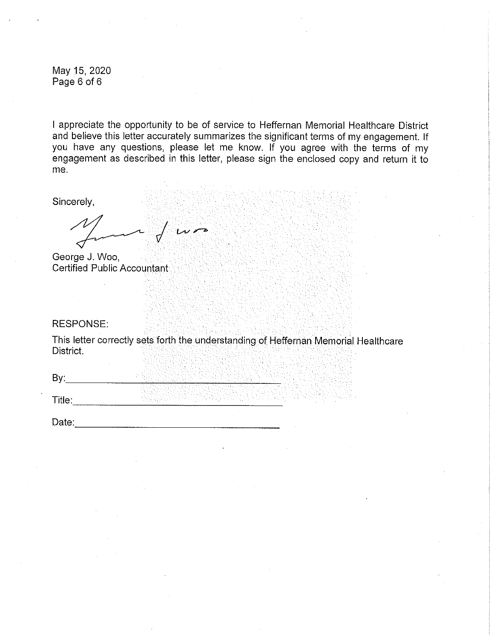May 15, 2020 Page 6 of 6

I appreciate the opportunity to be of service to Heffernan Memorial Healthcare District and believe this letter accurately summarizes the significant terms of my engagement. If you have any questions, please let me know. If you agree with the terms of my engagement as described in this letter, please sign the enclosed copy and return it to me.

Sincerely,

 $\sqrt{2}$ 

George J. Woo, Certified Public Accountant

#### **RESPONSE:**

This letter correctly sets forth the understanding of Heffernan Memorial Healthcare District.

By:  $\qquad \qquad$ 

**Title:** The contract of the contract of the contract of the contract of the contract of the contract of the contract of the contract of the contract of the contract of the contract of the contract of the contract of the c

Date: the contract of the contract of the contract of the contract of the contract of the contract of the contract of the contract of the contract of the contract of the contract of the contract of the contract of the cont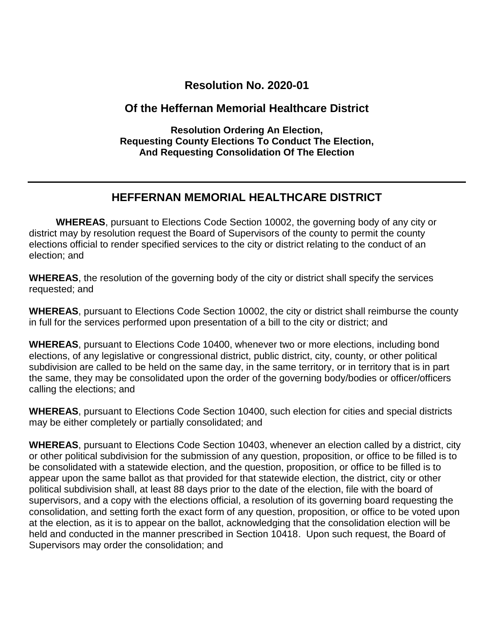# **Resolution No. 2020-01**

# **Of the Heffernan Memorial Healthcare District**

**Resolution Ordering An Election, Requesting County Elections To Conduct The Election, And Requesting Consolidation Of The Election**

# **HEFFERNAN MEMORIAL HEALTHCARE DISTRICT**

 **WHEREAS**, pursuant to Elections Code Section 10002, the governing body of any city or district may by resolution request the Board of Supervisors of the county to permit the county elections official to render specified services to the city or district relating to the conduct of an election; and

**WHEREAS**, the resolution of the governing body of the city or district shall specify the services requested; and

**WHEREAS**, pursuant to Elections Code Section 10002, the city or district shall reimburse the county in full for the services performed upon presentation of a bill to the city or district; and

**WHEREAS**, pursuant to Elections Code 10400, whenever two or more elections, including bond elections, of any legislative or congressional district, public district, city, county, or other political subdivision are called to be held on the same day, in the same territory, or in territory that is in part the same, they may be consolidated upon the order of the governing body/bodies or officer/officers calling the elections; and

**WHEREAS**, pursuant to Elections Code Section 10400, such election for cities and special districts may be either completely or partially consolidated; and

**WHEREAS**, pursuant to Elections Code Section 10403, whenever an election called by a district, city or other political subdivision for the submission of any question, proposition, or office to be filled is to be consolidated with a statewide election, and the question, proposition, or office to be filled is to appear upon the same ballot as that provided for that statewide election, the district, city or other political subdivision shall, at least 88 days prior to the date of the election, file with the board of supervisors, and a copy with the elections official, a resolution of its governing board requesting the consolidation, and setting forth the exact form of any question, proposition, or office to be voted upon at the election, as it is to appear on the ballot, acknowledging that the consolidation election will be held and conducted in the manner prescribed in Section 10418. Upon such request, the Board of Supervisors may order the consolidation; and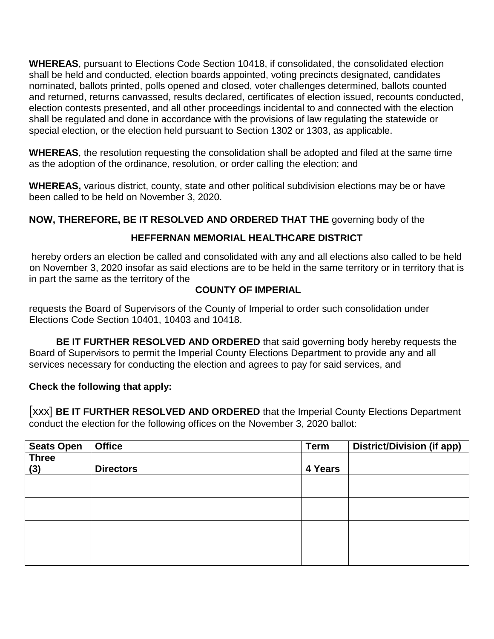**WHEREAS**, pursuant to Elections Code Section 10418, if consolidated, the consolidated election shall be held and conducted, election boards appointed, voting precincts designated, candidates nominated, ballots printed, polls opened and closed, voter challenges determined, ballots counted and returned, returns canvassed, results declared, certificates of election issued, recounts conducted, election contests presented, and all other proceedings incidental to and connected with the election shall be regulated and done in accordance with the provisions of law regulating the statewide or special election, or the election held pursuant to Section 1302 or 1303, as applicable.

**WHEREAS**, the resolution requesting the consolidation shall be adopted and filed at the same time as the adoption of the ordinance, resolution, or order calling the election; and

**WHEREAS,** various district, county, state and other political subdivision elections may be or have been called to be held on November 3, 2020.

# **NOW, THEREFORE, BE IT RESOLVED AND ORDERED THAT THE** governing body of the

# **HEFFERNAN MEMORIAL HEALTHCARE DISTRICT**

hereby orders an election be called and consolidated with any and all elections also called to be held on November 3, 2020 insofar as said elections are to be held in the same territory or in territory that is in part the same as the territory of the

# **COUNTY OF IMPERIAL**

requests the Board of Supervisors of the County of Imperial to order such consolidation under Elections Code Section 10401, 10403 and 10418.

 **BE IT FURTHER RESOLVED AND ORDERED** that said governing body hereby requests the Board of Supervisors to permit the Imperial County Elections Department to provide any and all services necessary for conducting the election and agrees to pay for said services, and

## **Check the following that apply:**

[xxx] **BE IT FURTHER RESOLVED AND ORDERED** that the Imperial County Elections Department conduct the election for the following offices on the November 3, 2020 ballot:

| <b>Seats Open</b> | <b>Office</b>    | <b>Term</b> | <b>District/Division (if app)</b> |
|-------------------|------------------|-------------|-----------------------------------|
| <b>Three</b>      |                  |             |                                   |
| (3)               | <b>Directors</b> | 4 Years     |                                   |
|                   |                  |             |                                   |
|                   |                  |             |                                   |
|                   |                  |             |                                   |
|                   |                  |             |                                   |
|                   |                  |             |                                   |
|                   |                  |             |                                   |
|                   |                  |             |                                   |
|                   |                  |             |                                   |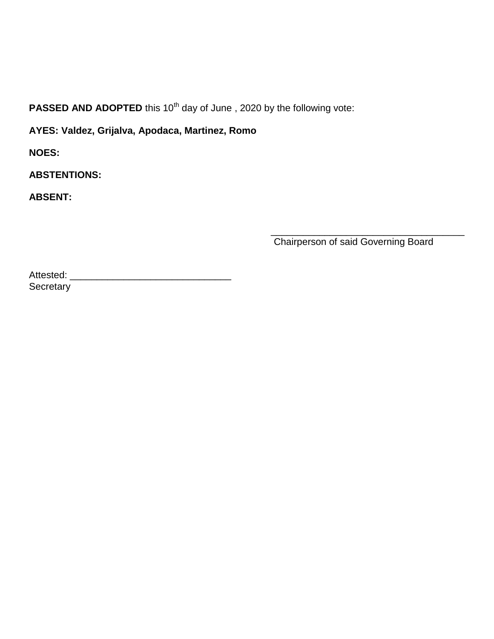**PASSED AND ADOPTED** this 10<sup>th</sup> day of June, 2020 by the following vote:

**AYES: Valdez, Grijalva, Apodaca, Martinez, Romo**

**NOES:**

**ABSTENTIONS:**

**ABSENT:**

\_\_\_\_\_\_\_\_\_\_\_\_\_\_\_\_\_\_\_\_\_\_\_\_\_\_\_\_\_\_\_\_\_\_\_\_ Chairperson of said Governing Board

Attested: \_\_\_\_\_\_\_\_\_\_\_\_\_\_\_\_\_\_\_\_\_\_\_\_\_\_\_\_\_\_ **Secretary**